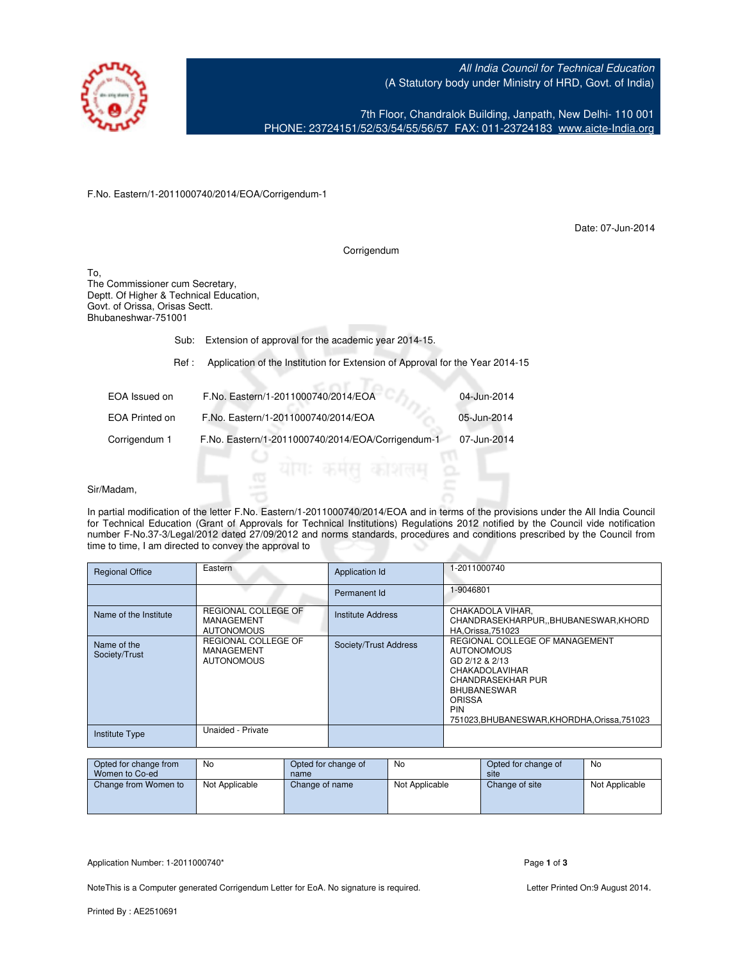

All India Council for Technical Education (A Statutory body under Ministry of HRD, Govt. of India)

7th Floor, Chandralok Building, Janpath, New Delhi- 110 001 PHONE: 23724151/52/53/54/55/56/57 FAX: 011-23724183 [www.aicte-India.org](http://www.aicte-India.org)

F.No. Eastern/1-2011000740/2014/EOA/Corrigendum-1

Date: 07-Jun-2014

Corrigendum

To, The Commissioner cum Secretary, Deptt. Of Higher & Technical Education, Govt. of Orissa, Orisas Sectt. Bhubaneshwar-751001

# Sub: Extension of approval for the academic year 2014-15.

### Ref : Application of the Institution for Extension of Approval for the Year 2014-15

| EOA Issued on  | F.No. Eastern/1-2011000740/2014/EOA               | 04-Jun-2014 |
|----------------|---------------------------------------------------|-------------|
| EOA Printed on | F.No. Eastern/1-2011000740/2014/EOA               | 05-Jun-2014 |
| Corrigendum 1  | F.No. Eastern/1-2011000740/2014/EOA/Corrigendum-1 | 07-Jun-2014 |

#### Sir/Madam,

In partial modification of the letter F.No. Eastern/1-2011000740/2014/EOA and in terms of the provisions under the All India Council for Technical Education (Grant of Approvals for Technical Institutions) Regulations 2012 notified by the Council vide notification number F-No.37-3/Legal/2012 dated 27/09/2012 and norms standards, procedures and conditions prescribed by the Council from time to time, I am directed to convey the approval to

| <b>Regional Office</b>       | Eastern                                                | Application Id           | 1-2011000740                                                                                                                                                                                                      |
|------------------------------|--------------------------------------------------------|--------------------------|-------------------------------------------------------------------------------------------------------------------------------------------------------------------------------------------------------------------|
|                              |                                                        | Permanent Id             | 1-9046801                                                                                                                                                                                                         |
| Name of the Institute        | REGIONAL COLLEGE OF<br>MANAGEMENT<br><b>AUTONOMOUS</b> | <b>Institute Address</b> | CHAKADOLA VIHAR,<br>CHANDRASEKHARPUR, BHUBANESWAR, KHORD<br><b>HA.Orissa.751023</b>                                                                                                                               |
| Name of the<br>Society/Trust | REGIONAL COLLEGE OF<br>MANAGEMENT<br><b>AUTONOMOUS</b> | Society/Trust Address    | REGIONAL COLLEGE OF MANAGEMENT<br><b>AUTONOMOUS</b><br>GD 2/12 & 2/13<br>CHAKADOLAVIHAR<br>CHANDRASEKHAR PUR<br><b>BHUBANESWAR</b><br><b>ORISSA</b><br><b>PIN</b><br>751023, BHUBANESWAR, KHORDHA, Orissa, 751023 |
| <b>Institute Type</b>        | Unaided - Private                                      |                          |                                                                                                                                                                                                                   |

| Opted for change from<br>Women to Co-ed | No             | Opted for change of<br>name | No             | Opted for change of<br>site | No             |
|-----------------------------------------|----------------|-----------------------------|----------------|-----------------------------|----------------|
| Change from Women to                    | Not Applicable | Change of name              | Not Applicable | Change of site              | Not Applicable |
|                                         |                |                             |                |                             |                |

Application Number: 1-2011000740\* Page 1 of 3

NoteThis is a Computer generated Corrigendum Letter for EoA. No signature is required. Letter Printed On:9 August 2014.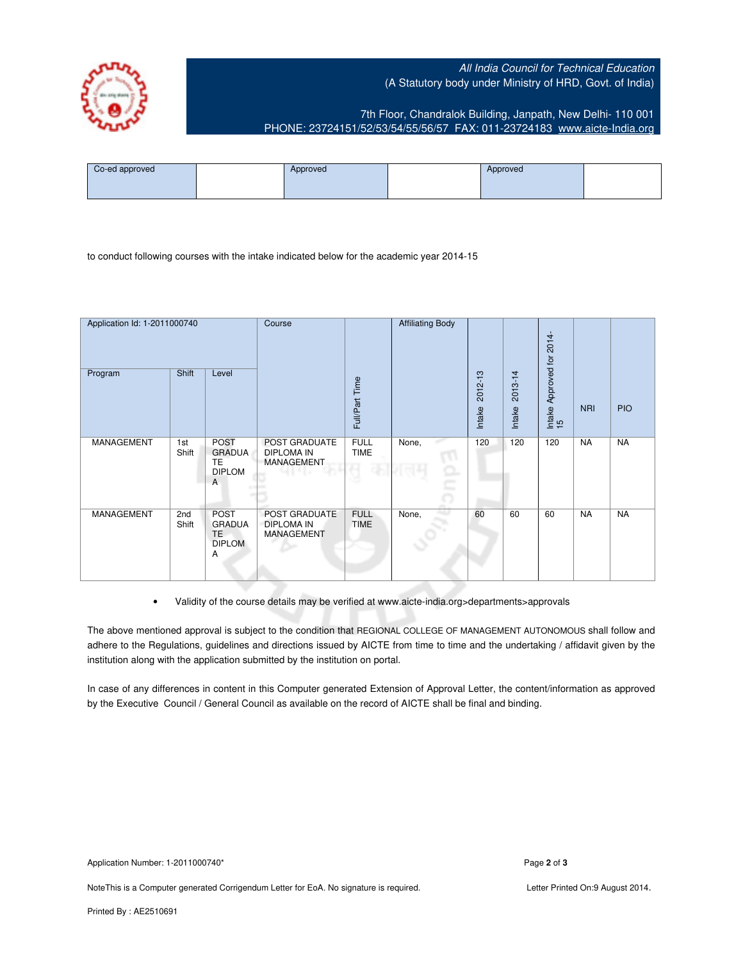## All India Council for Technical Education (A Statutory body under Ministry of HRD, Govt. of India)



7th Floor, Chandralok Building, Janpath, New Delhi- 110 001 PHONE: 23724151/52/53/54/55/56/57 FAX: 011-23724183 [www.aicte-India.org](http://www.aicte-India.org)

| Co-ed approved | Approved | Approved |  |
|----------------|----------|----------|--|
|                |          |          |  |

to conduct following courses with the intake indicated below for the academic year 2014-15

| Application Id: 1-2011000740<br>Program | Shift        | Level                                                                 | Course                                                  | Full/Part Time             | <b>Affiliating Body</b> | 2012-13<br>Intake | 2013-14<br>Intake | 2014-<br>Approved for<br>Intake<br>15 | <b>NRI</b> | <b>PIO</b> |
|-----------------------------------------|--------------|-----------------------------------------------------------------------|---------------------------------------------------------|----------------------------|-------------------------|-------------------|-------------------|---------------------------------------|------------|------------|
| MANAGEMENT                              | 1st<br>Shift | <b>POST</b><br><b>GRADUA</b><br>TE<br><b>DIPLOM</b><br>$\overline{A}$ | POST GRADUATE<br><b>DIPLOMA IN</b><br><b>MANAGEMENT</b> | <b>FULL</b><br><b>TIME</b> | None,<br><b>Land</b>    | 120               | 120               | 120                                   | <b>NA</b>  | <b>NA</b>  |
| MANAGEMENT                              | 2nd<br>Shift | <b>POST</b><br><b>GRADUA</b><br>TE.<br><b>DIPLOM</b><br>A             | POST GRADUATE<br><b>DIPLOMA IN</b><br>MANAGEMENT        | <b>FULL</b><br><b>TIME</b> | None,                   | 60                | 60                | 60                                    | <b>NA</b>  | <b>NA</b>  |

• Validity of the course details may be verified at www.aicte-india.org>departments>approvals

The above mentioned approval is subject to the condition that REGIONAL COLLEGE OF MANAGEMENT AUTONOMOUS shall follow and adhere to the Regulations, guidelines and directions issued by AICTE from time to time and the undertaking / affidavit given by the institution along with the application submitted by the institution on portal.

In case of any differences in content in this Computer generated Extension of Approval Letter, the content/information as approved by the Executive Council / General Council as available on the record of AICTE shall be final and binding.